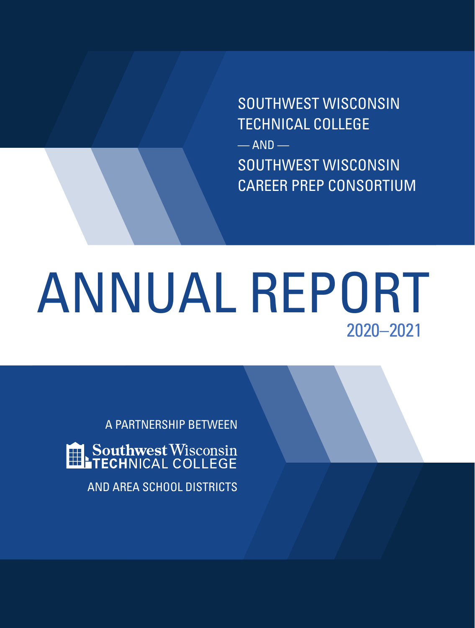SOUTHWEST WISCONSIN TECHNICAL COLLEGE  $-$  AND  $-$ SOUTHWEST WISCONSIN CAREER PREP CONSORTIUM

# ANNUAL REPORT 2020–2021

A PARTNERSHIP BETWEEN Southwest Wisconsin<br>TECHNICAL COLLEGE AND AREA SCHOOL DISTRICTS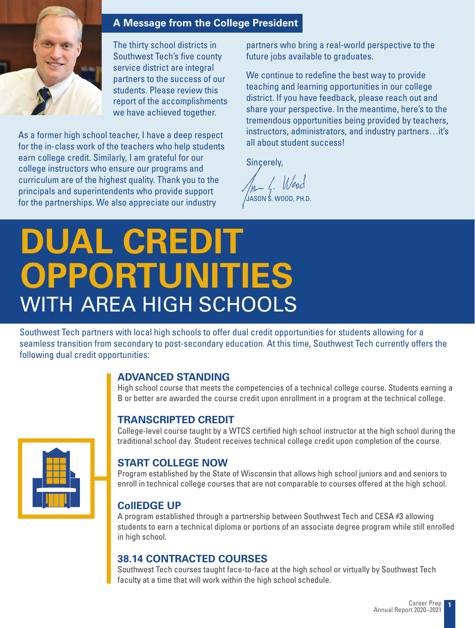

#### **A Message from the College President**

The thirty school districts in Southwest Tech's five county service district are integral partners to the success of our students. Please review this report of the accomplishments we have achieved together.

As a former high school teacher, I have a deep respect for the in-class work of the teachers who help students earn college credit. Similarly, I am grateful for our college instructors who ensure our programs and curriculum are of the highest quality. Thank you to the principals and superintendents who provide support for the partnerships. We also appreciate our industry

partners who bring a real-world perspective to the future jobs available to graduates.

We continue to redefine the best way to provide teaching and learning opportunities in our college district. If you have feedback, please reach out and share your perspective. In the meantime, here's to the tremendous opportunities being provided by teachers, instructors, administrators, and industry partners…it's all about student success!

Sincerely,

Man 4. Wood JASON S. WOOD, PH.D.

### **DUAL CREDIT OPPORTUNITIES** WITH AREA HIGH SCHOOLS

Southwest Tech partners with local high schools to offer dual credit opportunities for students allowing for a seamless transition from secondary to post-secondary education. At this time, Southwest Tech currently offers the following dual credit opportunities:

#### **ADVANCED STANDING**

High school course that meets the competencies of a technical college course. Students earning a B or better are awarded the course credit upon enrollment in a program at the technical college.

#### **TRANSCRIPTED CREDIT**

College-level course taught by a WTCS certified high school instructor at the high school during the traditional school day. Student receives technical college credit upon completion of the course.

#### **START COLLEGE NOW**

Program established by the State of Wisconsin that allows high school juniors and and seniors to enroll in technical college courses that are not comparable to courses offered at the high school.

#### **CollEDGE UP**

A program established through a partnership between Southwest Tech and CESA #3 allowing students to earn a technical diploma or portions of an associate degree program while still enrolled in high school.

#### **38.14 CONTRACTED COURSES**

Southwest Tech courses taught face-to-face at the high school or virtually by Southwest Tech faculty at a time that will work within the high school schedule.

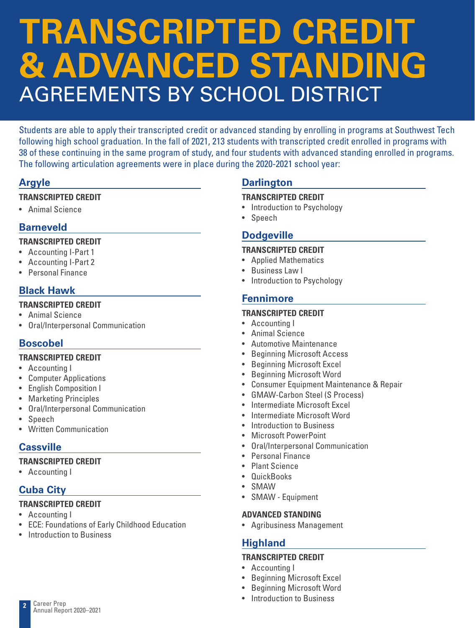## **TRANSCRIPTED CREDIT & ADVANCED STANDING** AGREEMENTS BY SCHOOL DISTRICT

Students are able to apply their transcripted credit or advanced standing by enrolling in programs at Southwest Tech following high school graduation. In the fall of 2021, 213 students with transcripted credit enrolled in programs with 38 of these continuing in the same program of study, and four students with advanced standing enrolled in programs. The following articulation agreements were in place during the 2020-2021 school year:

#### **Argyle**

#### **TRANSCRIPTED CREDIT**

• Animal Science

#### **Barneveld**

#### **TRANSCRIPTED CREDIT**

- Accounting I-Part 1
- Accounting I-Part 2
- Personal Finance

#### **Black Hawk**

#### **TRANSCRIPTED CREDIT**

- Animal Science
- Oral/Interpersonal Communication

#### **Boscobel**

#### **TRANSCRIPTED CREDIT**

- Accounting I
- Computer Applications
- English Composition I
- Marketing Principles
- Oral/Interpersonal Communication
- Speech
- Written Communication

#### **Cassville**

#### **TRANSCRIPTED CREDIT**

• Accounting I

#### **Cuba City**

#### **TRANSCRIPTED CREDIT**

- Accounting I
- ECE: Foundations of Early Childhood Education
- Introduction to Business

#### **Darlington**

#### **TRANSCRIPTED CREDIT**

- Introduction to Psychology
- Speech

#### **Dodgeville**

#### **TRANSCRIPTED CREDIT**

- Applied Mathematics
- Business Law I
- Introduction to Psychology

#### **Fennimore**

#### **TRANSCRIPTED CREDIT**

- Accounting I
- Animal Science
- Automotive Maintenance
- Beginning Microsoft Access
- Beginning Microsoft Excel
- Beginning Microsoft Word
- Consumer Equipment Maintenance & Repair
- GMAW-Carbon Steel (S Process)
- Intermediate Microsoft Excel
- Intermediate Microsoft Word
- Introduction to Business
- Microsoft PowerPoint
- Oral/Interpersonal Communication
- Personal Finance
- Plant Science
- QuickBooks
- SMAW
- SMAW Equipment

#### **ADVANCED STANDING**

• Agribusiness Management

#### **Highland**

#### **TRANSCRIPTED CREDIT**

- Accounting I
- Beginning Microsoft Excel
- Beginning Microsoft Word
- Introduction to Business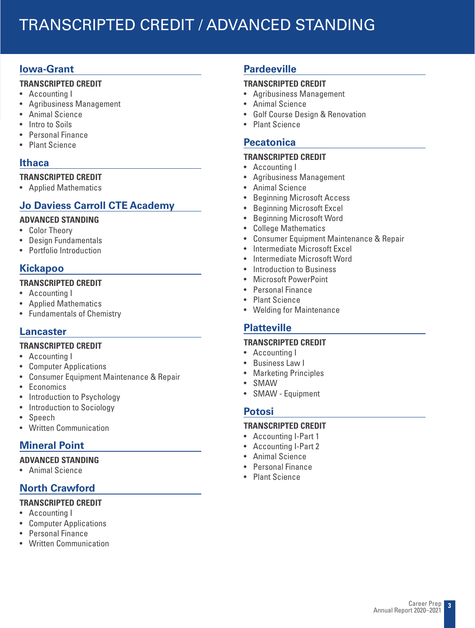### TRANSCRIPTED CREDIT / ADVANCED STANDING

#### **Iowa-Grant**

#### **TRANSCRIPTED CREDIT**

- Accounting I
- Agribusiness Management
- Animal Science
- Intro to Soils
- Personal Finance
- Plant Science

#### **Ithaca**

#### **TRANSCRIPTED CREDIT**

• Applied Mathematics

#### **Jo Daviess Carroll CTE Academy**

#### **ADVANCED STANDING**

- Color Theory
- Design Fundamentals
- Portfolio Introduction

#### **Kickapoo**

#### **TRANSCRIPTED CREDIT**

- Accounting I
- Applied Mathematics
- Fundamentals of Chemistry

#### **Lancaster**

#### **TRANSCRIPTED CREDIT**

- Accounting I
- Computer Applications
- Consumer Equipment Maintenance & Repair
- Economics
- Introduction to Psychology
- Introduction to Sociology
- Speech
- Written Communication

#### **Mineral Point**

#### **ADVANCED STANDING**

• Animal Science

#### **North Crawford**

#### **TRANSCRIPTED CREDIT**

- Accounting I
- Computer Applications
- Personal Finance
- Written Communication

#### **Pardeeville**

#### **TRANSCRIPTED CREDIT**

- Agribusiness Management
- Animal Science
- Golf Course Design & Renovation
- Plant Science

#### **Pecatonica**

#### **TRANSCRIPTED CREDIT**

- Accounting I
- Agribusiness Management
- Animal Science
- Beginning Microsoft Access
- Beginning Microsoft Excel
- Beginning Microsoft Word
- College Mathematics
- Consumer Equipment Maintenance & Repair
- Intermediate Microsoft Excel
- Intermediate Microsoft Word
- Introduction to Business
- Microsoft PowerPoint
- Personal Finance
- Plant Science
- Welding for Maintenance

#### **Platteville**

#### **TRANSCRIPTED CREDIT**

- Accounting I
- Business Law I
- Marketing Principles
- **SMAW**
- SMAW Equipment

#### **Potosi**

#### **TRANSCRIPTED CREDIT**

- Accounting I-Part 1
- Accounting I-Part 2
- Animal Science
- Personal Finance
- Plant Science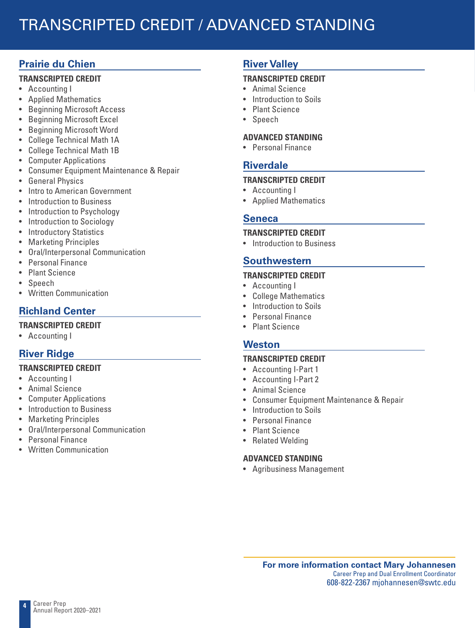### TRANSCRIPTED CREDIT / ADVANCED STANDING

#### **Prairie du Chien**

#### **TRANSCRIPTED CREDIT**

- Accounting I
- Applied Mathematics
- Beginning Microsoft Access
- Beginning Microsoft Excel
- Beginning Microsoft Word
- College Technical Math 1A
- College Technical Math 1B
- Computer Applications
- Consumer Equipment Maintenance & Repair
- General Physics
- Intro to American Government
- Introduction to Business
- Introduction to Psychology
- Introduction to Sociology
- Introductory Statistics
- Marketing Principles
- Oral/Interpersonal Communication
- Personal Finance
- Plant Science
- Speech
- Written Communication

#### **Richland Center**

- **TRANSCRIPTED CREDIT**
- Accounting I

#### **River Ridge**

#### **TRANSCRIPTED CREDIT**

- Accounting I
- Animal Science
- Computer Applications
- Introduction to Business
- Marketing Principles
- Oral/Interpersonal Communication
- Personal Finance
- Written Communication

#### **River Valley**

#### **TRANSCRIPTED CREDIT**

- Animal Science
- Introduction to Soils
- Plant Science
- Speech

#### **ADVANCED STANDING**

• Personal Finance

#### **Riverdale**

#### **TRANSCRIPTED CREDIT**

- Accounting I
- Applied Mathematics

#### **Seneca**

#### **TRANSCRIPTED CREDIT**

• Introduction to Business

#### **Southwestern**

#### **TRANSCRIPTED CREDIT**

- Accounting I
- College Mathematics
- Introduction to Soils
- Personal Finance
- Plant Science

#### **Weston**

#### **TRANSCRIPTED CREDIT**

- Accounting I-Part 1
- Accounting I-Part 2
- Animal Science
- Consumer Equipment Maintenance & Repair
- Introduction to Soils
- Personal Finance
- Plant Science
- Related Welding

#### **ADVANCED STANDING**

• Agribusiness Management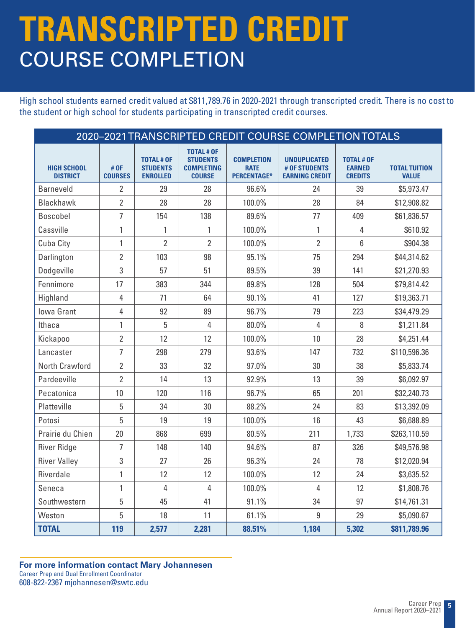### **TRANSCRIPTED CREDIT** COURSE COMPLETION

High school students earned credit valued at \$811,789.76 in 2020-2021 through transcripted credit. There is no cost to the student or high school for students participating in transcripted credit courses.

|                                       | 2020-2021 TRANSCRIPTED CREDIT COURSE COMPLETION TOTALS |                                                         |                                                                            |                                                        |                                                               |                                                      |                                      |
|---------------------------------------|--------------------------------------------------------|---------------------------------------------------------|----------------------------------------------------------------------------|--------------------------------------------------------|---------------------------------------------------------------|------------------------------------------------------|--------------------------------------|
| <b>HIGH SCHOOL</b><br><b>DISTRICT</b> | # OF<br><b>COURSES</b>                                 | <b>TOTAL # OF</b><br><b>STUDENTS</b><br><b>ENROLLED</b> | <b>TOTAL # OF</b><br><b>STUDENTS</b><br><b>COMPLETING</b><br><b>COURSE</b> | <b>COMPLETION</b><br><b>RATE</b><br><b>PERCENTAGE*</b> | <b>UNDUPLICATED</b><br># OF STUDENTS<br><b>EARNING CREDIT</b> | <b>TOTAL # OF</b><br><b>EARNED</b><br><b>CREDITS</b> | <b>TOTAL TUITION</b><br><b>VALUE</b> |
| <b>Barneveld</b>                      | $\overline{2}$                                         | 29                                                      | 28                                                                         | 96.6%                                                  | 24                                                            | 39                                                   | \$5,973.47                           |
| <b>Blackhawk</b>                      | $\overline{2}$                                         | 28                                                      | 28                                                                         | 100.0%                                                 | 28                                                            | 84                                                   | \$12,908.82                          |
| Boscobel                              | $\overline{1}$                                         | 154                                                     | 138                                                                        | 89.6%                                                  | 77                                                            | 409                                                  | \$61,836.57                          |
| Cassville                             | 1                                                      | $\mathbf{1}$                                            | 1                                                                          | 100.0%                                                 | $\mathbf{1}$                                                  | 4                                                    | \$610.92                             |
| Cuba City                             | 1                                                      | $\overline{2}$                                          | $\overline{2}$                                                             | 100.0%                                                 | $\overline{2}$                                                | 6                                                    | \$904.38                             |
| Darlington                            | 2                                                      | 103                                                     | 98                                                                         | 95.1%                                                  | 75                                                            | 294                                                  | \$44,314.62                          |
| Dodgeville                            | 3                                                      | 57                                                      | 51                                                                         | 89.5%                                                  | 39                                                            | 141                                                  | \$21,270.93                          |
| Fennimore                             | 17                                                     | 383                                                     | 344                                                                        | 89.8%                                                  | 128                                                           | 504                                                  | \$79,814.42                          |
| Highland                              | 4                                                      | 71                                                      | 64                                                                         | 90.1%                                                  | 41                                                            | 127                                                  | \$19,363.71                          |
| <b>Iowa Grant</b>                     | 4                                                      | 92                                                      | 89                                                                         | 96.7%                                                  | 79                                                            | 223                                                  | \$34,479.29                          |
| Ithaca                                | 1                                                      | 5                                                       | 4                                                                          | 80.0%                                                  | 4                                                             | 8                                                    | \$1,211.84                           |
| Kickapoo                              | $\overline{2}$                                         | 12                                                      | 12                                                                         | 100.0%                                                 | 10                                                            | 28                                                   | \$4,251.44                           |
| Lancaster                             | 7                                                      | 298                                                     | 279                                                                        | 93.6%                                                  | 147                                                           | 732                                                  | \$110,596.36                         |
| North Crawford                        | $\overline{2}$                                         | 33                                                      | 32                                                                         | 97.0%                                                  | 30                                                            | 38                                                   | \$5,833.74                           |
| Pardeeville                           | $\overline{2}$                                         | 14                                                      | 13                                                                         | 92.9%                                                  | 13                                                            | 39                                                   | \$6,092.97                           |
| Pecatonica                            | 10                                                     | 120                                                     | 116                                                                        | 96.7%                                                  | 65                                                            | 201                                                  | \$32,240.73                          |
| Platteville                           | 5                                                      | 34                                                      | 30                                                                         | 88.2%                                                  | 24                                                            | 83                                                   | \$13,392.09                          |
| Potosi                                | 5                                                      | 19                                                      | 19                                                                         | 100.0%                                                 | 16                                                            | 43                                                   | \$6,688.89                           |
| Prairie du Chien                      | 20                                                     | 868                                                     | 699                                                                        | 80.5%                                                  | 211                                                           | 1,733                                                | \$263,110.59                         |
| <b>River Ridge</b>                    | $\overline{7}$                                         | 148                                                     | 140                                                                        | 94.6%                                                  | 87                                                            | 326                                                  | \$49,576.98                          |
| <b>River Valley</b>                   | 3                                                      | 27                                                      | 26                                                                         | 96.3%                                                  | 24                                                            | 78                                                   | \$12,020.94                          |
| Riverdale                             | $\mathbf{1}$                                           | 12                                                      | 12                                                                         | 100.0%                                                 | 12                                                            | 24                                                   | \$3,635.52                           |
| Seneca                                | 1                                                      | 4                                                       | 4                                                                          | 100.0%                                                 | 4                                                             | 12                                                   | \$1,808.76                           |
| Southwestern                          | 5                                                      | 45                                                      | 41                                                                         | 91.1%                                                  | 34                                                            | 97                                                   | \$14,761.31                          |
| Weston                                | 5                                                      | 18                                                      | 11                                                                         | 61.1%                                                  | 9                                                             | 29                                                   | \$5,090.67                           |
| <b>TOTAL</b>                          | 119                                                    | 2,577                                                   | 2,281                                                                      | 88.51%                                                 | 1,184                                                         | 5,302                                                | \$811,789.96                         |

#### **For more information contact Mary Johannesen** Career Prep and Dual Enrollment Coordinator 608-822-2367 mjohannesen@swtc.edu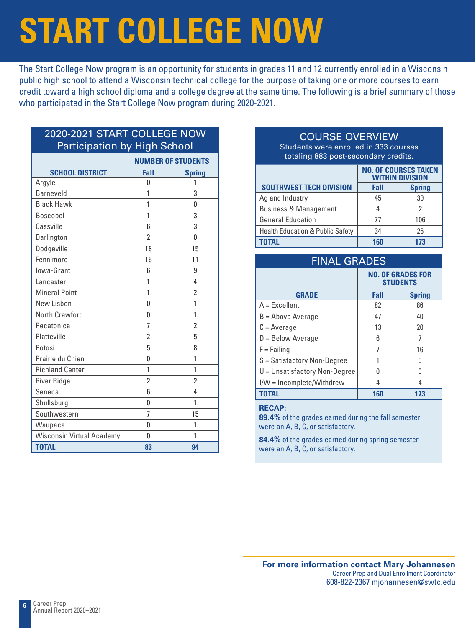# **START COLLEGE NOW**

The Start College Now program is an opportunity for students in grades 11 and 12 currently enrolled in a Wisconsin public high school to attend a Wisconsin technical college for the purpose of taking one or more courses to earn credit toward a high school diploma and a college degree at the same time. The following is a brief summary of those who participated in the Start College Now program during 2020-2021.

#### 2020-2021 START COLLEGE NOW Participation by High School

|                                  | <b>NUMBER OF STUDENTS</b> |                |  |
|----------------------------------|---------------------------|----------------|--|
| <b>SCHOOL DISTRICT</b>           | Fall                      | <b>Spring</b>  |  |
| Argyle                           | 0                         | 1              |  |
| <b>Barneveld</b>                 | 1                         | 3              |  |
| <b>Black Hawk</b>                | 1                         | 0              |  |
| <b>Boscobel</b>                  | 1                         | 3              |  |
| Cassville                        | 6                         | 3              |  |
| Darlington                       | $\overline{\phantom{a}}$  | U              |  |
| Dodgeville                       | 18                        | 15             |  |
| Fennimore                        | 16                        | 11             |  |
| lowa-Grant                       | 6                         | 9              |  |
| Lancaster                        | 1                         | 4              |  |
| <b>Mineral Point</b>             | 1                         | 2              |  |
| New Lisbon                       | 0                         | 1              |  |
| North Crawford                   | 0                         | 1              |  |
| Pecatonica                       | $\overline{7}$            | $\overline{2}$ |  |
| Platteville                      | $\overline{2}$            | 5              |  |
| Potosi                           | 5                         | 8              |  |
| Prairie du Chien                 | 0                         | 1              |  |
| <b>Richland Center</b>           | 1                         | 1              |  |
| River Ridge                      | $\overline{2}$            | 2              |  |
| Seneca                           | 6                         | 4              |  |
| Shullsburg                       | 0                         | 1              |  |
| Southwestern                     | 7                         | 15             |  |
| Waupaca                          | 0                         | 1              |  |
| <b>Wisconsin Virtual Academy</b> | $\Omega$                  | 1              |  |
| <b>TOTAL</b>                     | 83                        | 94             |  |

#### COURSE OVERVIEW

Students were enrolled in 333 courses totaling 883 post-secondary credits.

|                                             | <b>NO. OF COURSES TAKEN</b><br><b>WITHIN DIVISION</b> |               |
|---------------------------------------------|-------------------------------------------------------|---------------|
| <b>SOUTHWEST TECH DIVISION</b>              | Fall                                                  | <b>Spring</b> |
| Ag and Industry                             | 45                                                    | 39            |
| <b>Business &amp; Management</b>            |                                                       | 2             |
| <b>General Education</b>                    | 77                                                    | 106           |
| <b>Health Education &amp; Public Safety</b> | 34                                                    | 26            |
| <b>TOTAL</b>                                | 160                                                   | 173           |

| <b>FINAL GRADES</b>             |                                             |               |  |
|---------------------------------|---------------------------------------------|---------------|--|
|                                 | <b>NO. OF GRADES FOR</b><br><b>STUDENTS</b> |               |  |
| <b>GRADE</b>                    | Fall                                        | <b>Spring</b> |  |
| $A = Excellent$                 | 82                                          | 86            |  |
| $B =$ Above Average             | 47                                          | 40            |  |
| $C = Average$                   | 13                                          | 20            |  |
| $D = Below Average$             | 6                                           | 7             |  |
| $F = F \sin n \alpha$           | 7                                           | 16            |  |
| S = Satisfactory Non-Degree     | 1                                           | N             |  |
| $U =$ Unsatisfactory Non-Degree | N                                           | Λ             |  |
| I/W = Incomplete/Withdrew       | 4                                           | 4             |  |
| <b>TOTAL</b>                    | 160                                         | 173           |  |

#### **RECAP:**

**89.4%** of the grades earned during the fall semester were an A, B, C, or satisfactory.

**84.4%** of the grades earned during spring semester were an A, B, C, or satisfactory.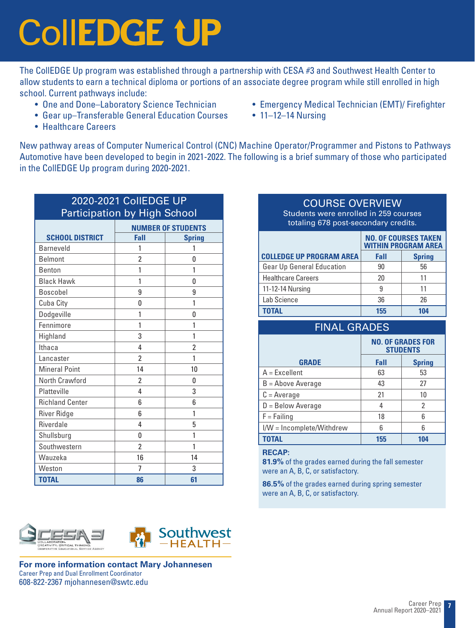# **CollEDGE UP**

The CollEDGE Up program was established through a partnership with CESA #3 and Southwest Health Center to allow students to earn a technical diploma or portions of an associate degree program while still enrolled in high school. Current pathways include:

- One and Done–Laboratory Science Technician
- Gear up–Transferable General Education Courses
- Emergency Medical Technician (EMT)/ Firefighter
- 11-12-14 Nursing

• Healthcare Careers

New pathway areas of Computer Numerical Control (CNC) Machine Operator/Programmer and Pistons to Pathways Automotive have been developed to begin in 2021-2022. The following is a brief summary of those who participated in the CollEDGE Up program during 2020-2021.

| 2020-2021 CollEDGE UP<br><b>Participation by High School</b> |                          |                           |  |  |
|--------------------------------------------------------------|--------------------------|---------------------------|--|--|
|                                                              |                          | <b>NUMBER OF STUDENTS</b> |  |  |
| <b>SCHOOL DISTRICT</b>                                       | Fall                     | <b>Spring</b>             |  |  |
| <b>Barneveld</b>                                             | 1                        | 1                         |  |  |
| <b>Belmont</b>                                               | $\overline{2}$           | 0                         |  |  |
| <b>Benton</b>                                                | 1                        | 1                         |  |  |
| <b>Black Hawk</b>                                            | 1                        | 0                         |  |  |
| <b>Boscobel</b>                                              | 9                        | 9                         |  |  |
| Cuba City                                                    | 0                        | 1                         |  |  |
| Dodgeville                                                   | 1                        | 0                         |  |  |
| Fennimore                                                    | 1                        | 1                         |  |  |
| Highland                                                     | 3                        | 1                         |  |  |
| Ithaca                                                       | 4                        | $\overline{2}$            |  |  |
| Lancaster                                                    | 2                        | 1                         |  |  |
| <b>Mineral Point</b>                                         | 14                       | 10                        |  |  |
| North Crawford                                               | 2                        | 0                         |  |  |
| Platteville                                                  | 4                        | 3                         |  |  |
| <b>Richland Center</b>                                       | 6                        | 6                         |  |  |
| <b>River Ridge</b>                                           | 6                        | 1                         |  |  |
| Riverdale                                                    | 4                        | 5                         |  |  |
| Shullsburg                                                   | 0                        | 1                         |  |  |
| Southwestern                                                 | $\overline{\phantom{a}}$ | 1                         |  |  |
| Wauzeka                                                      | 16                       | 14                        |  |  |
| Weston                                                       | 7                        | 3                         |  |  |
| <b>TOTAL</b>                                                 | 86                       | 61                        |  |  |

#### COURSE OVERVIEW

Students were enrolled in 259 courses totaling 678 post-secondary credits.

|                                  | <b>NO. OF COURSES TAKEN</b><br><b>WITHIN PROGRAM AREA</b> |               |
|----------------------------------|-----------------------------------------------------------|---------------|
| <b>COLLEDGE UP PROGRAM AREA</b>  | Fall                                                      | <b>Spring</b> |
| <b>Gear Up General Education</b> | 90                                                        | 56            |
| <b>Healthcare Careers</b>        | 20                                                        | 11            |
| 11-12-14 Nursing                 | 9                                                         | 11            |
| Lab Science                      | 36                                                        | 26            |
| <b>TOTAL</b>                     | 155                                                       | 104           |

| <b>FINAL GRADES</b>       |                                             |               |
|---------------------------|---------------------------------------------|---------------|
|                           | <b>NO. OF GRADES FOR</b><br><b>STUDENTS</b> |               |
| <b>GRADE</b>              | Fall                                        | <b>Spring</b> |
| $A = Excellent$           | 63                                          | 53            |
| $B =$ Above Average       | 43                                          | 27            |
| $C = Average$             | 21                                          | 10            |
| $D =$ Below Average       | 4                                           | 2             |
| $F = Failing$             | 18                                          | 6             |
| I/W = Incomplete/Withdrew | հ                                           | հ             |
| <b>TOTAL</b>              | 155                                         | 104           |

#### **RECAP:**

**81.9%** of the grades earned during the fall semester were an A, B, C, or satisfactory.

**86.5%** of the grades earned during spring semester were an A, B, C, or satisfactory.





**For more information contact Mary Johannesen** Career Prep and Dual Enrollment Coordinator 608-822-2367 mjohannesen@swtc.edu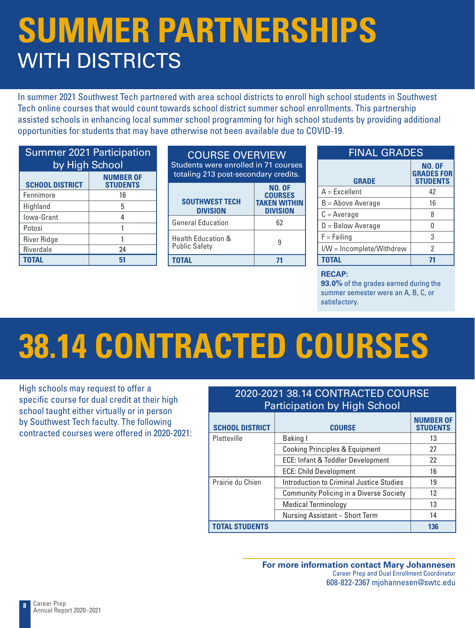### **SUMMER PARTNERSHIPS**  WITH DISTRICTS

In summer 2021 Southwest Tech partnered with area school districts to enroll high school students in Southwest Tech online courses that would count towards school district summer school enrollments. This partnership assisted schools in enhancing local summer school programming for high school students by providing additional opportunities for students that may have otherwise not been available due to COVID-19.

| <b>Summer 2021 Participation</b><br>by High School            |    |  |
|---------------------------------------------------------------|----|--|
| <b>NUMBER OF</b><br><b>SCHOOL DISTRICT</b><br><b>STUDENTS</b> |    |  |
| Fennimore                                                     | 16 |  |
| Highland                                                      | 5  |  |
| Iowa-Grant                                                    | 4  |  |
| Potosi                                                        |    |  |
| <b>River Ridge</b>                                            |    |  |
| <b>Riverdale</b>                                              | 24 |  |
| <b>TOTAL</b>                                                  | 51 |  |

| <b>COURSE OVERVIEW</b><br>Students were enrolled in 71 courses<br>totaling 213 post-secondary credits. |                                                                           |
|--------------------------------------------------------------------------------------------------------|---------------------------------------------------------------------------|
| <b>SOUTHWEST TECH</b><br><b>DIVISION</b>                                                               | <b>NO. OF</b><br><b>COURSES</b><br><b>TAKEN WITHIN</b><br><b>DIVISION</b> |
| <b>General Education</b>                                                                               | 62                                                                        |
| <b>Health Education &amp;</b><br><b>Public Safety</b>                                                  | ٩                                                                         |
|                                                                                                        |                                                                           |

| <b>FINAL GRADES</b>       |                                                       |  |
|---------------------------|-------------------------------------------------------|--|
| <b>GRADE</b>              | <b>NO. OF</b><br><b>GRADES FOR</b><br><b>STUDENTS</b> |  |
| $A = Excellent$           | 42                                                    |  |
| $B =$ Above Average       | 16                                                    |  |
| $C = Average$             | 8                                                     |  |
| $D =$ Below Average       | 0                                                     |  |
| $F = Failing$             | 3                                                     |  |
| I/W = Incomplete/Withdrew | $\mathfrak{p}$                                        |  |
| <b>TOTAL</b>              | 71                                                    |  |

#### **RECAP:**

**93.0%** of the grades earned during the summer semester were an A, B, C, or satisfactory.

# **38.14 CONTRACTED COURSES**

High schools may request to offer a specific course for dual credit at their high school taught either virtually or in person by Southwest Tech faculty. The following contracted courses were offered in 2020-2021:

#### 2020-2021 38.14 CONTRACTED COURSE Participation by High School

| <b>SCHOOL DISTRICT</b> | <b>COURSE</b>                                  | <b>NUMBER OF</b><br><b>STUDENTS</b> |
|------------------------|------------------------------------------------|-------------------------------------|
| Platteville            | Baking I                                       | 13                                  |
|                        | <b>Cooking Principles &amp; Equipment</b>      | 27                                  |
|                        | ECE: Infant & Toddler Development              | 22                                  |
|                        | <b>ECE: Child Development</b>                  | 16                                  |
| Prairie du Chien       | Introduction to Criminal Justice Studies       | 19                                  |
|                        | <b>Community Policing in a Diverse Society</b> | 12                                  |
|                        | Medical Terminology                            | 13                                  |
|                        | Nursing Assistant - Short Term                 | 14                                  |
| <b>TOTAL STUDENTS</b>  |                                                | 136                                 |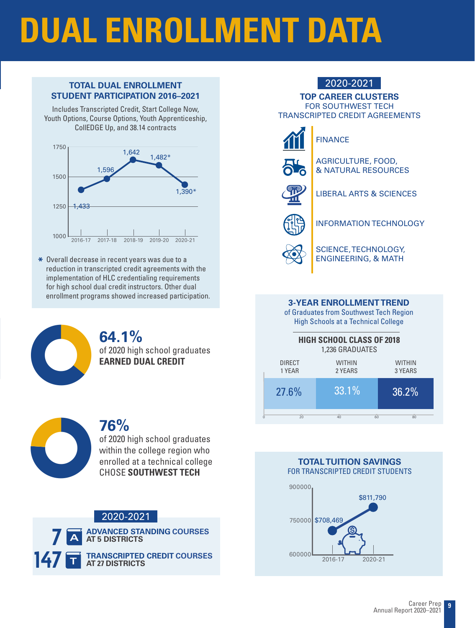# **DUAL ENROLLMENT DATA**

#### **TOTAL DUAL ENROLLMENT** 2020-2021 **STUDENT PARTICIPATION 2016–2021**

Includes Transcripted Credit, Start College Now, Youth Options, Course Options, Youth Apprenticeship, CollEDGE Up, and 38.14 contracts



**\*** Overall decrease in recent years was due to a reduction in transcripted credit agreements with the implementation of HLC credentialing requirements for high school dual credit instructors. Other dual enrollment programs showed increased participation.



**64.1%** of 2020 high school graduates **EARNED DUAL CREDIT**



### **76%**

of 2020 high school graduates within the college region who enrolled at a technical college CHOSE **SOUTHWEST TECH**

#### 2020-2021



### **TOP CAREER CLUSTERS** FOR SOUTHWEST TECH TRANSCRIPTED CREDIT AGREEMENTS FINANCE



#### AGRICULTURE, FOOD, & NATURAL RESOURCES



LIBERAL ARTS & SCIENCES



INFORMATION TECHNOLOGY



SCIENCE, TECHNOLOGY, ENGINEERING, & MATH

#### **3-YEAR ENROLLMENT TREND**

of Graduates from Southwest Tech Region High Schools at a Technical College

| <b>HIGH SCHOOL CLASS OF 2018</b><br>1,236 GRADUATES |                          |                          |  |  |
|-----------------------------------------------------|--------------------------|--------------------------|--|--|
| <b>DIRECT</b><br>1 YEAR                             | <b>WITHIN</b><br>2 YEARS | <b>WITHIN</b><br>3 YEARS |  |  |
| 27.6%                                               | 33.1%                    | 36.2%                    |  |  |
| 20                                                  | 60<br>40                 | 80                       |  |  |

#### **TOTAL TUITION SAVINGS** FOR TRANSCRIPTED CREDIT STUDENTS

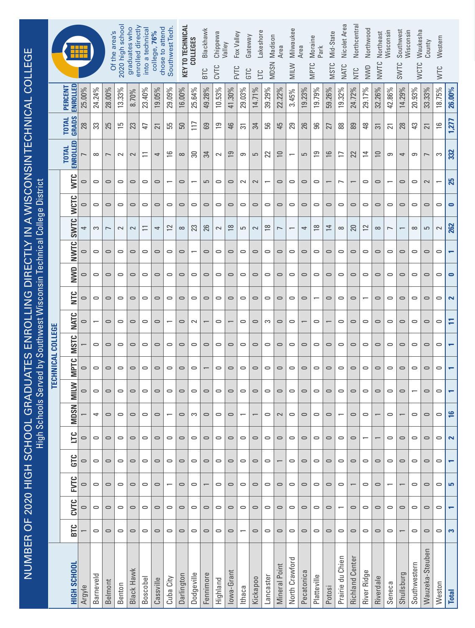|                                                            |                          |                              |                      |           | Of the area's            | 2020 high school | enrolled directly<br>graduates who | into a technical | chose to attend<br>76%<br>college, | Southwest Tech           | <b>KEY TO TECHNICAL</b> | <b>COLLEGES</b> | Blackhawk  | Chippewa<br>Valley | Fox Valley           | Gateway                  | Lakeshore                | Madison                  | Area                 | Milwaukee      | Area       | Moraine<br>Park          | Mid-State      | Nicolet Area             | Northcentral           | Northwood                | Northeast      | Wisconsin                | Southwest<br>Wisconsin | Waukesha                 | County          | Western       |                         |
|------------------------------------------------------------|--------------------------|------------------------------|----------------------|-----------|--------------------------|------------------|------------------------------------|------------------|------------------------------------|--------------------------|-------------------------|-----------------|------------|--------------------|----------------------|--------------------------|--------------------------|--------------------------|----------------------|----------------|------------|--------------------------|----------------|--------------------------|------------------------|--------------------------|----------------|--------------------------|------------------------|--------------------------|-----------------|---------------|-------------------------|
|                                                            |                          |                              |                      |           |                          |                  |                                    |                  |                                    |                          |                         |                 | <b>BTC</b> | CVTC               | <b>FVTC</b>          | GTC                      | ЦC                       | <b>MDSN</b>              |                      | <b>MILW</b>    |            | <b>MPTC</b>              | <b>MSTC</b>    | NATC                     | NTC                    | NWD                      | NWTC           |                          | SWTC                   | <b>WCTC</b>              |                 | <b>NTC</b>    |                         |
|                                                            |                          | ENROLLED<br>PERCENT          | 25.00%               | 24.24%    | 28.00%                   | 13.33%           | 8.70%                              | 23.40%           | 19.05%                             | 29.09%                   | 16.00%                  | 25.64%          | 49.28%     | 10.53%             | 41.30%               | 29.03%                   | 14.71%                   | 39.29%                   | 22.22%               | 3.45%          | 19.23%     | 9.79%                    | 59.26%         | 19.32%                   | 24.72%                 | 29.17%                   | 32.26%         | 42.86%                   | 14.29%                 | 20.93%                   | 33.33%          | 18.75%        | 26.00%                  |
|                                                            |                          | <b>GRADS</b><br><b>TOTAL</b> | 28                   | 33        | 25                       | 51               | 23                                 | 47               | $\overline{21}$                    | 55                       | 50                      | $\overline{11}$ | 69         | $\overline{61}$    | 46                   | స్                       | 34                       | 99                       | 45                   | 29             | 26         | 96                       | 27             | $88$                     | 89                     | 48                       | $\overline{5}$ | $\overline{c}$           | 28                     | 43                       | 21              | $\frac{6}{2}$ | 1,277                   |
| ADUATES ENROLLING DIRECTLY IN A WISCONSINTECHNICAL COLLEGE |                          | ENROLLED<br><b>TOTAL</b>     |                      | $\infty$  | $\overline{\phantom{0}}$ | $\sim$           | $\sim$                             | $\equiv$         | 4                                  | $\frac{1}{2}$            | $\infty$                | జ               | 34         | $\sim$             | $\overline{9}$       | 9                        | 5                        | N                        | $\Xi$                |                | 5          | ၉၂                       | $\approx$      | $\equiv$                 | 22                     | $\overline{a}$           | $\approx$      | တ                        | 4                      | တ                        | $\overline{ }$  | S             | 332                     |
|                                                            |                          | <b>NTC</b>                   | $\circ$              | $\circ$   | $\circ$                  | $\circ$          | $\circ$                            | $\circ$          | $\circ$                            | $\overline{\phantom{0}}$ | $\circ$                 |                 | 5          | $\circ$            | $\circ$              | $\sim$                   | $\sim$                   | $\overline{\phantom{0}}$ | $\circ$              | $\circ$        | $\circ$    | $\circ$                  |                | $\overline{ }$           |                        | $\circ$                  | $\circ$        | $\overline{\phantom{0}}$ | $\circ$                | $\circ$                  | $\sim$          |               | 25                      |
|                                                            |                          | <b>WCTC</b>                  | $\circ$              | $\circ$   | $\circ$                  | $\circ$          | $\circ$                            | $\circ$          | $\circ$                            | $\circ$                  | $\cup$                  | $\circ$         | $\cup$     | $\circ$            | $\circ$              | $\circ$                  | $\circ$                  | $\circ$                  | $\cup$               | $\circ$        | $\circ$    | $\circ$                  | $\circ$        | $\circ$                  | $\circ$                | $\circ$                  | $\circ$        | $\circ$                  | $\circ$                | $\circ$                  | $\circ$         | $\circ$       | $\bullet$               |
|                                                            |                          | <b>SWTC</b>                  | 4                    | S         | $\overline{ }$           | $\sim$           | $\sim$                             | $\equiv$         | 4                                  | $\approx$                | $\infty$                | ಔ               | 26         | $\sim$             | $\frac{8}{2}$        | 5                        | $\sim$                   | $\frac{8}{10}$           | $\overline{ }$       |                | 4          | $\frac{8}{10}$           | $\overline{a}$ | $\infty$                 | 20                     | $\approx$                | $\infty$       | $\overline{ }$           |                        | $\infty$                 | 5               | $\sim$        | 262                     |
|                                                            |                          | <b>NWTC</b>                  | $\circ$              | $\circ$   | $\circ$                  | $\circ$          | $\circ$                            | $\circ$          | $\circ$                            | $\circ$                  | $\circ$                 |                 | $\circ$    | $\circ$            | $\circ$              | $\circ$                  | $\circ$                  | $\circ$                  | $\qquad \qquad \Box$ | $\circ$        | $\circ$    | $\circ$                  | $\circ$        | $\circ$                  | $\circ$                | $\circ$                  | $\circ$        | $\circ$                  | $\circ$                | $\circ$                  | $\circ$         | $\circ$       |                         |
|                                                            |                          | NWD                          | $\circ$              | $\circ$   | $\circ$                  | $\circ$          | $\circ$                            | $\circ$          | $\circ$                            | $\circ$                  | $\circ$                 | $\circ$         | $\cup$     | $\circ$            | $\circ$              | $\circ$                  | $\bigcirc$               | $\circ$                  | $\circ$              | $\circ$        | $\circ$    | $\circ$                  | $\circ$        | $\circ$                  | $\circ$                | $\circ$                  | $\circ$        | $\circ$                  | $\circ$                | $\circ$                  | $\circ$         | $\circ$       | $\bullet$               |
| Served by Southwest Wisconsin Technical College District   |                          | n<br>E                       | $\circ$              | $\circ$   | $\circ$                  | $\circ$          | $\circ$                            | $\circ$          | $\circ$                            | $\circ$                  | $\circ$                 | $\circ$         | $\circ$    | $\circ$            | $\circ$              | $\circ$                  | $\circ$                  | $\circ$                  | $\cup$               | $\circ$        | $\circ$    | $\overline{\phantom{0}}$ | $\circ$        | $\circ$                  | $\circ$                | $\overline{\phantom{0}}$ | $\circ$        | $\circ$                  | $\circ$                | $\circ$                  | $\circ$         | $\circ$       | $\overline{\mathbf{r}}$ |
|                                                            |                          | <b>NATC</b>                  | $\circ$              |           | $\circ$                  | $\circ$          | $\circ$                            | $\circ$          | $\circ$                            | $\overline{\phantom{0}}$ | $\circ$                 | $\sim$          |            | $\circ$            |                      | $\circ$                  | $\circ$                  | S                        | $\circ$              | $\circ$        |            | $\circ$                  |                | $\circ$                  | $\circ$                | $\circ$                  | $\circ$        | $\circ$                  | $\circ$                | $\circ$                  | $\circ$         | $\circ$       | Η                       |
|                                                            | <b>TECHNICAL COLLEGE</b> | <b>MSTC</b>                  |                      | $\circ$   | $\circ$                  | $\circ$          | $\circ$                            | $\circ$          | $\circ$                            | $\circ$                  | $\circ$                 | $\circ$         | $\circ$    | $\circ$            | $\circ$              | $\circ$                  | $\circ$                  | $\circ$                  | $\circ$              | $\circ$        | $\circ$    | $\circ$                  | $\circ$        | $\circ$                  | $\circ$                | $\circ$                  | $\circ$        | $\circ$                  | $\circ$                | $\circ$                  | $\circ$         | $\circ$       |                         |
|                                                            |                          | <b>MPTC</b>                  | $\circ$              | $\circ$   | $\circ$                  | $\circ$          | $\circ$                            | $\circ$          | $\cup$                             | $\circ$                  | $\circ$                 | $\circ$         |            | $\circ$            | $\circ$              | $\circ$                  | $\bigcirc$               | $\circ$                  | $\circ$              | $\circ$        | $\circ$    | $\circ$                  | $\circ$        | $\circ$                  | $\circ$                | $\circ$                  | $\circ$        | $\circ$                  | $\circ$                | $\circ$                  | $\circ$         | $\circ$       |                         |
| $\omega$                                                   |                          | <b>MILW</b>                  | $\qquad \qquad \Box$ | $\circ$   | $\circ$                  | $\circ$          | $\circ$                            | $\circ$          | $\circ$                            | $\circ$                  | $\circ$                 | $\circ$         | $\circ$    | $\circ$            | $\qquad \qquad \Box$ | $\circ$                  | $\circ$                  | $\circ$                  | $\circ$              | $\circ$        | $\circ$    | $\circ$                  | $\circ$        | $\circ$                  | $\circ$                | $\circ$                  | $\circ$        | $\circ$                  | $\circ$                | $\overline{\phantom{0}}$ | $\circ$         | $\circ$       |                         |
|                                                            |                          | <b>MDSN</b>                  |                      | 4         | $\circ$                  | $\circ$          | $\circ$                            | $\circ$          | $\cup$                             | $\overline{\phantom{0}}$ | $\circ$                 | S               | $\circ$    | $\circ$            | $\circ$              | $\overline{\phantom{0}}$ | $\overline{\phantom{0}}$ | $\circ$                  | $\sim$               | $\circ$        | $\circ$    | $\circ$                  | $\circ$        | $\overline{\phantom{0}}$ | $\circ$                | $\circ$                  |                | $\circ$                  |                        | $\circ$                  | $\cup$          | $\bigcirc$    | $\frac{6}{5}$           |
| High School:                                               |                          | LТС                          | $\circ$              | $\circ$   | $\circ$                  | $\circ$          | $\circ$                            | $\circ$          | $\circ$                            | $\circ$                  | $\circ$                 | $\circ$         | $\circ$    | $\circ$            | $\circ$              | $\circ$                  | $\circ$                  | $\circ$                  | $\circ$              | $\circ$        | $\circ$    | $\circ$                  | $\circ$        | $\circ$                  | $\circ$                |                          |                | $\circ$                  | $\circ$                | $\circ$                  | $\circ$         | $\circ$       | $\sim$                  |
|                                                            |                          | GTC                          | $\cup$               | $\circ$   | $\circ$                  | $\circ$          | $\circ$                            | $\circ$          | $\circ$                            | $\circ$                  | $\cup$                  | $\circ$         | $\circ$    | $\circ$            | $\circ$              | $\circ$                  | $\circ$                  | $\circ$                  |                      | $\circ$        | $\circ$    | $\circ$                  | $\circ$        | $\circ$                  | $\circ$                | $\circ$                  | $\circ$        | $\circ$                  | $\circ$                | $\circ$                  | $\circ$         | $\circ$       |                         |
|                                                            |                          | <b>ENTC</b>                  | $\circ$              | $\circ$   | $\circ$                  | $\circ$          | $\circ$                            | $\circ$          | $\circ$                            | $\overline{\phantom{0}}$ | $\circ$                 | $\circ$         |            | $\circ$            | $\circ$              | $\circ$                  | $\circ$                  | $\circ$                  | $\circ$              | $\circ$        | $\circ$    | $\circ$                  | $\circ$        | $\circ$                  |                        | $\circ$                  | $\cup$         | $\overline{\phantom{0}}$ |                        | $\circ$                  | $\circ$         | $\circ$       | S                       |
|                                                            |                          | CVTC                         | $\circ$              | $\circ$   | $\circ$                  | $\circ$          | $\circ$                            | $\circ$          | $\circ$                            | $\circ$                  | $\circ$                 | $\circ$         | $\circ$    | $\circ$            | $\circ$              | $\circ$                  | $\circ$                  | $\circ$                  | $\cup$               | $\circ$        | $\circ$    | $\circ$                  | $\circ$        |                          | $\circ$                | $\circ$                  | $\circ$        | $\circ$                  | $\circ$                | $\circ$                  | $\circ$         | $\circ$       |                         |
|                                                            |                          | <b>BTC</b>                   |                      | $\circ$   | $\circ$                  | $\circ$          | $\circ$                            | $\circ$          | $\circ$                            | $\circ$                  | $\circ$                 | $\circ$         | $\circ$    | $\circ$            | $\circ$              |                          | $\circ$                  | $\circ$                  | $\circ$              | $\circ$        | $\circ$    | $\circ$                  | $\circ$        | $\circ$                  | $\circ$                | $\circ$                  | $\circ$        | $\circ$                  |                        | $\circ$                  | $\circ$         | $\circ$       | 3                       |
| NUMBER OF 2020 HIGH SCHOOL GR                              |                          | HIGH SCHOOL                  | Argyle               | Barneveld | Belmont                  | Benton           | Black Hawk                         | Boscobel         | Cassville                          | Cuba City                | Darlington              | Dodgeville      | Fennimore  | Highland           | lowa-Grant           | Ithaca                   | Kickapoo                 | Lancaster                | Mineral Point        | North Crawford | Pecatonica | Platteville              | Potosi         | Prairie du Chien         | <b>Richland Center</b> | River Ridge              | Riverdale      | Seneca                   | Shullsburg             | Southwestern             | Wauzeka-Steuben | Weston        | <b>Total</b>            |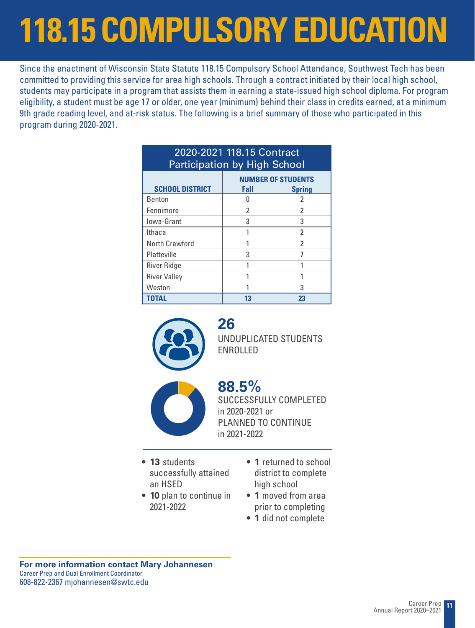# **118.15 COMPULSORY EDUCATION**

Since the enactment of Wisconsin State Statute 118.15 Compulsory School Attendance, Southwest Tech has been committed to providing this service for area high schools. Through a contract initiated by their local high school, students may participate in a program that assists them in earning a state-issued high school diploma. For program eligibility, a student must be age 17 or older, one year (minimum) behind their class in credits earned, at a minimum 9th grade reading level, and at-risk status. The following is a brief summary of those who participated in this program during 2020-2021.

| 2020-2021 118.15 Contract<br><b>Participation by High School</b> |                           |               |  |  |  |  |  |  |  |  |
|------------------------------------------------------------------|---------------------------|---------------|--|--|--|--|--|--|--|--|
|                                                                  | <b>NUMBER OF STUDENTS</b> |               |  |  |  |  |  |  |  |  |
| <b>SCHOOL DISTRICT</b>                                           | Fall                      | <b>Spring</b> |  |  |  |  |  |  |  |  |
| <b>Benton</b>                                                    | Ω                         | 2             |  |  |  |  |  |  |  |  |
| Fennimore                                                        | 2                         | 2             |  |  |  |  |  |  |  |  |
| lowa-Grant                                                       | 3                         | 3             |  |  |  |  |  |  |  |  |
| Ithaca                                                           |                           | 2             |  |  |  |  |  |  |  |  |
| North Crawford                                                   |                           | 2             |  |  |  |  |  |  |  |  |
| Platteville                                                      | 3                         |               |  |  |  |  |  |  |  |  |
| <b>River Ridge</b>                                               |                           |               |  |  |  |  |  |  |  |  |
| <b>River Valley</b>                                              |                           |               |  |  |  |  |  |  |  |  |
| Weston                                                           |                           | 3             |  |  |  |  |  |  |  |  |
| <b>TOTAL</b>                                                     | 13                        | 23            |  |  |  |  |  |  |  |  |



**26** UNDUPLICATED STUDENTS ENROLLED



**88.5%** SUCCESSFULLY COMPLETED in 2020-2021 or **PLANNED TO CONTINUE** in 2021-2022<br>
PLANNED TO CONTINUE in 2021-2022

- **• 13** students successfully attained an HSED
- **• 10** plan to continue in 2021-2022
- **• 1** returned to school district to complete high school
- **• 1** moved from area prior to completing
- **• 1** did not complete

**For more information contact Mary Johannesen** Career Prep and Dual Enrollment Coordinator 608-822-2367 mjohannesen@swtc.edu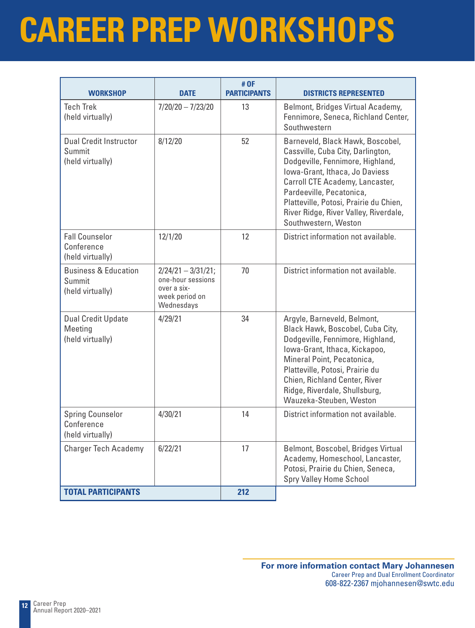## **CAREER PREP WORKSHOPS**

| <b>WORKSHOP</b>                                               | <b>DATE</b>                                                                               | # OF<br><b>PARTICIPANTS</b> | <b>DISTRICTS REPRESENTED</b>                                                                                                                                                                                                                                                                                          |  |  |  |  |  |  |
|---------------------------------------------------------------|-------------------------------------------------------------------------------------------|-----------------------------|-----------------------------------------------------------------------------------------------------------------------------------------------------------------------------------------------------------------------------------------------------------------------------------------------------------------------|--|--|--|--|--|--|
| <b>Tech Trek</b><br>(held virtually)                          | $7/20/20 - 7/23/20$                                                                       | 13                          | Belmont, Bridges Virtual Academy,<br>Fennimore, Seneca, Richland Center,<br>Southwestern                                                                                                                                                                                                                              |  |  |  |  |  |  |
| <b>Dual Credit Instructor</b><br>Summit<br>(held virtually)   | 8/12/20                                                                                   | 52                          | Barneveld, Black Hawk, Boscobel,<br>Cassville, Cuba City, Darlington,<br>Dodgeville, Fennimore, Highland,<br>Iowa-Grant, Ithaca, Jo Daviess<br>Carroll CTE Academy, Lancaster,<br>Pardeeville, Pecatonica,<br>Platteville, Potosi, Prairie du Chien,<br>River Ridge, River Valley, Riverdale,<br>Southwestern, Weston |  |  |  |  |  |  |
| <b>Fall Counselor</b><br>Conference<br>(held virtually)       | 12/1/20                                                                                   | 12                          | District information not available.                                                                                                                                                                                                                                                                                   |  |  |  |  |  |  |
| <b>Business &amp; Education</b><br>Summit<br>(held virtually) | $2/24/21 - 3/31/21$ ;<br>one-hour sessions<br>over a six-<br>week period on<br>Wednesdays | 70                          | District information not available.                                                                                                                                                                                                                                                                                   |  |  |  |  |  |  |
| <b>Dual Credit Update</b><br>Meeting<br>(held virtually)      | 4/29/21                                                                                   | 34                          | Argyle, Barneveld, Belmont,<br>Black Hawk, Boscobel, Cuba City,<br>Dodgeville, Fennimore, Highland,<br>Iowa-Grant, Ithaca, Kickapoo,<br>Mineral Point, Pecatonica,<br>Platteville, Potosi, Prairie du<br>Chien, Richland Center, River<br>Ridge, Riverdale, Shullsburg,<br>Wauzeka-Steuben, Weston                    |  |  |  |  |  |  |
| <b>Spring Counselor</b><br>Conference<br>(held virtually)     | 4/30/21                                                                                   | 14                          | District information not available.                                                                                                                                                                                                                                                                                   |  |  |  |  |  |  |
| <b>Charger Tech Academy</b>                                   | 6/22/21                                                                                   | 17                          | Belmont, Boscobel, Bridges Virtual<br>Academy, Homeschool, Lancaster,<br>Potosi, Prairie du Chien, Seneca,<br>Spry Valley Home School                                                                                                                                                                                 |  |  |  |  |  |  |
| <b>TOTAL PARTICIPANTS</b>                                     |                                                                                           | 212                         |                                                                                                                                                                                                                                                                                                                       |  |  |  |  |  |  |